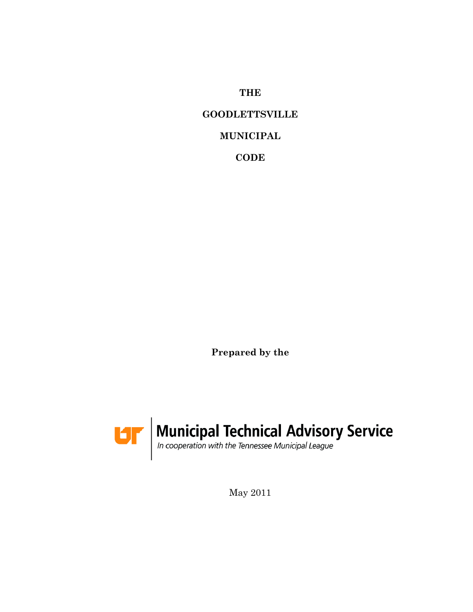**THE**

## **GOODLETTSVILLE**

### **MUNICIPAL**

**CODE**

**Prepared by the**



May 2011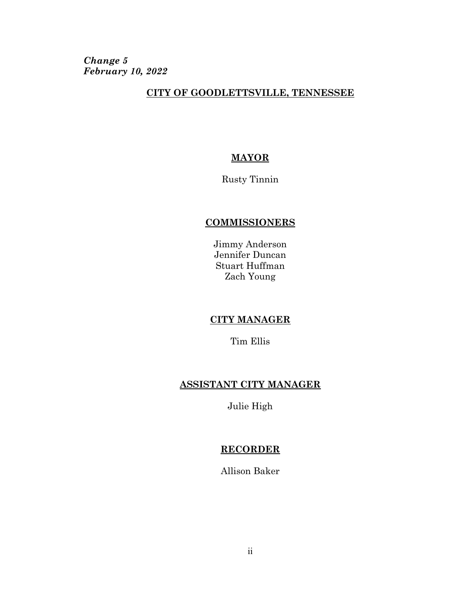*Change 5 February 10, 2022*

### **CITY OF GOODLETTSVILLE, TENNESSEE**

### **MAYOR**

Rusty Tinnin

### **COMMISSIONERS**

Jimmy Anderson Jennifer Duncan Stuart Huffman Zach Young

### **CITY MANAGER**

Tim Ellis

### **ASSISTANT CITY MANAGER**

Julie High

### **RECORDER**

Allison Baker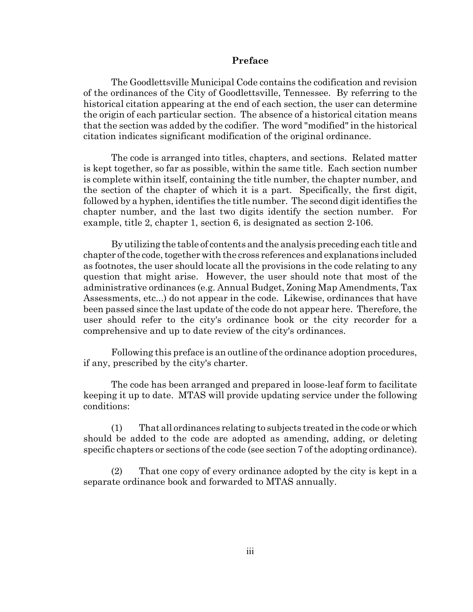#### **Preface**

The Goodlettsville Municipal Code contains the codification and revision of the ordinances of the City of Goodlettsville, Tennessee. By referring to the historical citation appearing at the end of each section, the user can determine the origin of each particular section. The absence of a historical citation means that the section was added by the codifier. The word "modified" in the historical citation indicates significant modification of the original ordinance.

The code is arranged into titles, chapters, and sections. Related matter is kept together, so far as possible, within the same title. Each section number is complete within itself, containing the title number, the chapter number, and the section of the chapter of which it is a part. Specifically, the first digit, followed by a hyphen, identifies the title number. The second digit identifies the chapter number, and the last two digits identify the section number. For example, title 2, chapter 1, section 6, is designated as section 2-106.

By utilizing the table of contents and the analysis preceding each title and chapter of the code, together with the cross references and explanations included as footnotes, the user should locate all the provisions in the code relating to any question that might arise. However, the user should note that most of the administrative ordinances (e.g. Annual Budget, Zoning Map Amendments, Tax Assessments, etc...) do not appear in the code. Likewise, ordinances that have been passed since the last update of the code do not appear here. Therefore, the user should refer to the city's ordinance book or the city recorder for a comprehensive and up to date review of the city's ordinances.

Following this preface is an outline of the ordinance adoption procedures, if any, prescribed by the city's charter.

The code has been arranged and prepared in loose-leaf form to facilitate keeping it up to date. MTAS will provide updating service under the following conditions:

(1) That all ordinances relating to subjects treated in the code or which should be added to the code are adopted as amending, adding, or deleting specific chapters or sections of the code (see section 7 of the adopting ordinance).

(2) That one copy of every ordinance adopted by the city is kept in a separate ordinance book and forwarded to MTAS annually.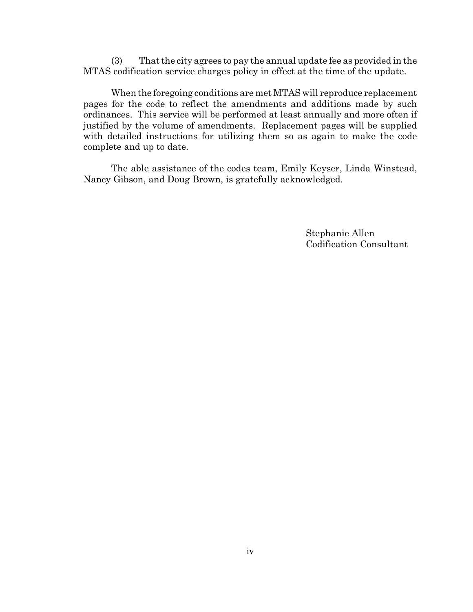(3) That the city agrees to pay the annual update fee as provided in the MTAS codification service charges policy in effect at the time of the update.

When the foregoing conditions are met MTAS will reproduce replacement pages for the code to reflect the amendments and additions made by such ordinances. This service will be performed at least annually and more often if justified by the volume of amendments. Replacement pages will be supplied with detailed instructions for utilizing them so as again to make the code complete and up to date.

The able assistance of the codes team, Emily Keyser, Linda Winstead, Nancy Gibson, and Doug Brown, is gratefully acknowledged.

> Stephanie Allen Codification Consultant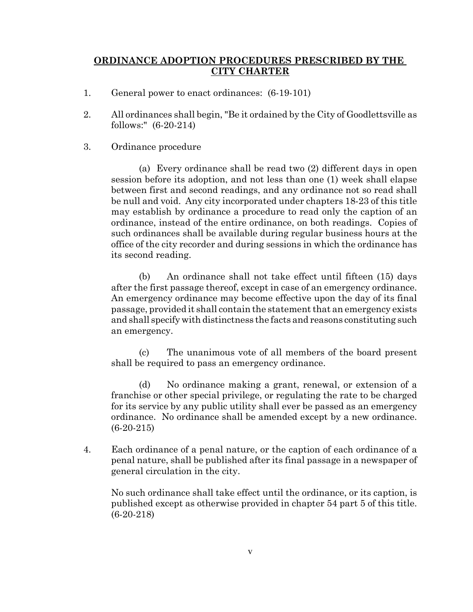### **ORDINANCE ADOPTION PROCEDURES PRESCRIBED BY THE CITY CHARTER**

- 1. General power to enact ordinances: (6-19-101)
- 2. All ordinances shall begin, "Be it ordained by the City of Goodlettsville as follows:" (6-20-214)
- 3. Ordinance procedure

(a) Every ordinance shall be read two (2) different days in open session before its adoption, and not less than one (1) week shall elapse between first and second readings, and any ordinance not so read shall be null and void. Any city incorporated under chapters 18-23 of this title may establish by ordinance a procedure to read only the caption of an ordinance, instead of the entire ordinance, on both readings. Copies of such ordinances shall be available during regular business hours at the office of the city recorder and during sessions in which the ordinance has its second reading.

(b) An ordinance shall not take effect until fifteen (15) days after the first passage thereof, except in case of an emergency ordinance. An emergency ordinance may become effective upon the day of its final passage, provided it shall contain the statement that an emergency exists and shall specify with distinctness the facts and reasons constituting such an emergency.

(c) The unanimous vote of all members of the board present shall be required to pass an emergency ordinance.

(d) No ordinance making a grant, renewal, or extension of a franchise or other special privilege, or regulating the rate to be charged for its service by any public utility shall ever be passed as an emergency ordinance. No ordinance shall be amended except by a new ordinance. (6-20-215)

4. Each ordinance of a penal nature, or the caption of each ordinance of a penal nature, shall be published after its final passage in a newspaper of general circulation in the city.

No such ordinance shall take effect until the ordinance, or its caption, is published except as otherwise provided in chapter 54 part 5 of this title. (6-20-218)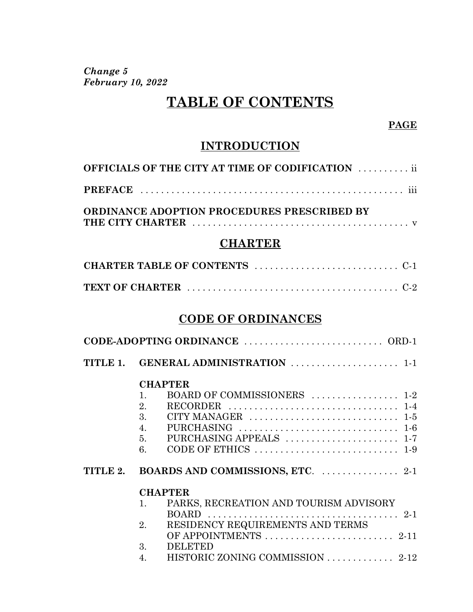*Change 5 February 10, 2022*

# **TABLE OF CONTENTS**

### **PAGE**

## **INTRODUCTION**

| <b>OFFICIALS OF THE CITY AT TIME OF CODIFICATION  ii</b> |
|----------------------------------------------------------|
|                                                          |
| ORDINANCE ADOPTION PROCEDURES PRESCRIBED BY              |

## **CHARTER**

## **CODE OF ORDINANCES**

|          | TITLE 1. GENERAL ADMINISTRATION  1-1                                                  |
|----------|---------------------------------------------------------------------------------------|
|          | <b>CHAPTER</b>                                                                        |
|          | BOARD OF COMMISSIONERS  1-2<br>1.                                                     |
|          | 2.                                                                                    |
|          | 3.                                                                                    |
|          | 4.<br>PURCHASING $\ldots \ldots \ldots \ldots \ldots \ldots \ldots \ldots \ldots 1-6$ |
|          | 5.                                                                                    |
|          | CODE OF ETHICS $\dots\dots\dots\dots\dots\dots\dots\dots\dots\dots$<br>6.             |
| TITLE 2. |                                                                                       |
|          | <b>CHAPTER</b>                                                                        |
|          | PARKS, RECREATION AND TOURISM ADVISORY<br>1.                                          |
|          |                                                                                       |
|          | RESIDENCY REQUIREMENTS AND TERMS<br>2.                                                |
|          |                                                                                       |
|          | 3.<br><b>DELETED</b>                                                                  |

4. HISTORIC ZONING COMMISSION . . . . . . . . . . . . . 2-12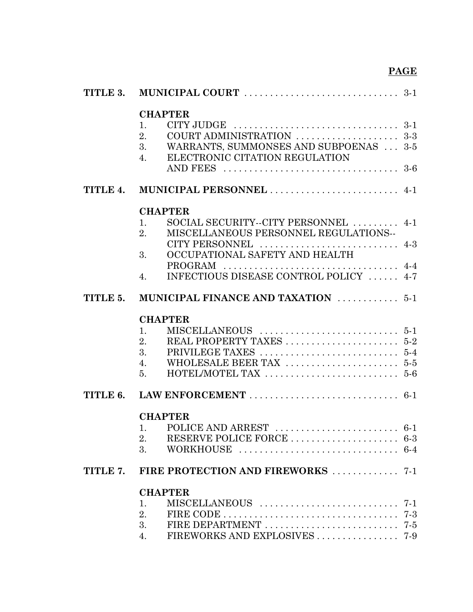|          | <b>CHAPTER</b><br>$CITY$ JUDGE $\dots\dots\dots\dots\dots\dots\dots\dots\dots\dots3-1$<br>1.       |  |
|----------|----------------------------------------------------------------------------------------------------|--|
|          | COURT ADMINISTRATION  3-3<br>2.                                                                    |  |
|          | WARRANTS, SUMMONSES AND SUBPOENAS  3-5<br>3.<br>ELECTRONIC CITATION REGULATION<br>$\overline{4}$ . |  |
|          |                                                                                                    |  |
| TITLE 4. | MUNICIPAL PERSONNEL  4-1                                                                           |  |
|          | <b>CHAPTER</b>                                                                                     |  |
|          | SOCIAL SECURITY--CITY PERSONNEL  4-1<br>1.<br>MISCELLANEOUS PERSONNEL REGULATIONS--<br>2.          |  |
|          | CITY PERSONNEL  4-3<br>OCCUPATIONAL SAFETY AND HEALTH<br>3.                                        |  |
|          |                                                                                                    |  |
|          | INFECTIOUS DISEASE CONTROL POLICY  4-7<br>$\overline{4}$ .                                         |  |
| TITLE 5. | MUNICIPAL FINANCE AND TAXATION  5-1                                                                |  |
|          | <b>CHAPTER</b>                                                                                     |  |
|          | 1.                                                                                                 |  |
|          | 2.                                                                                                 |  |
|          | 3.                                                                                                 |  |
|          | 4.                                                                                                 |  |
|          | 5 <sub>1</sub>                                                                                     |  |
|          |                                                                                                    |  |
|          | <b>CHAPTER</b>                                                                                     |  |
|          |                                                                                                    |  |
|          | 2.                                                                                                 |  |
|          | 3.                                                                                                 |  |
|          | TITLE 7. FIRE PROTECTION AND FIREWORKS  7-1                                                        |  |
|          | <b>CHAPTER</b>                                                                                     |  |
|          | 1.                                                                                                 |  |
|          | 2.                                                                                                 |  |
|          | 3.                                                                                                 |  |
|          | 4.                                                                                                 |  |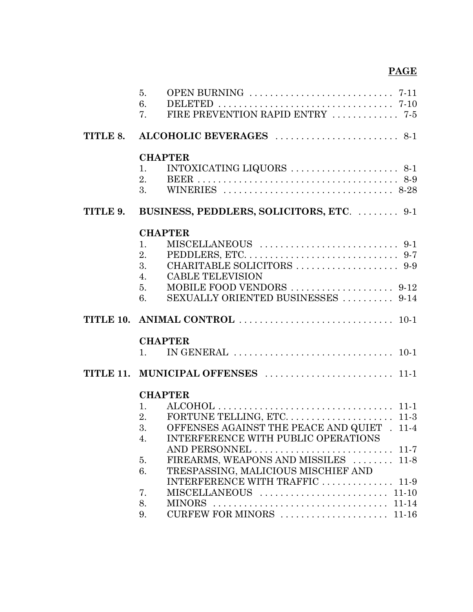|          | 5.<br>6.<br>7. | FIRE PREVENTION RAPID ENTRY  7-5                                                 |
|----------|----------------|----------------------------------------------------------------------------------|
|          |                |                                                                                  |
|          |                | <b>CHAPTER</b>                                                                   |
|          | 1.<br>2.       | INTOXICATING LIQUORS $\ldots \ldots \ldots \ldots \ldots \ldots \ldots$ 8-1      |
|          |                |                                                                                  |
| TITLE 9. |                | BUSINESS, PEDDLERS, SOLICITORS, ETC.  9-1                                        |
|          |                | <b>CHAPTER</b>                                                                   |
|          | 1.             |                                                                                  |
|          | 2.             |                                                                                  |
|          | 3.             |                                                                                  |
|          | 4.             | <b>CABLE TELEVISION</b>                                                          |
|          | 5.<br>6.       | SEXUALLY ORIENTED BUSINESSES  9-14                                               |
|          |                |                                                                                  |
|          |                |                                                                                  |
|          |                | <b>CHAPTER</b>                                                                   |
|          | 1.             | IN GENERAL $\ldots \ldots \ldots \ldots \ldots \ldots \ldots \ldots \ldots 10-1$ |
|          |                |                                                                                  |
|          |                | <b>CHAPTER</b>                                                                   |
|          | 1.             |                                                                                  |
|          | 2.             |                                                                                  |
|          | 3.             | OFFENSES AGAINST THE PEACE AND QUIET . 11-4                                      |
|          | 4.             | <b>INTERFERENCE WITH PUBLIC OPERATIONS</b>                                       |
|          |                | AND PERSONNEL  11-7<br>FIREARMS, WEAPONS AND MISSILES  11-8                      |
|          | 5.<br>6.       | TRESPASSING, MALICIOUS MISCHIEF AND                                              |
|          |                | INTERFERENCE WITH TRAFFIC  11-9                                                  |
|          | 7.             |                                                                                  |
|          | 8.             |                                                                                  |
|          | 9.             | CURFEW FOR MINORS  11-16                                                         |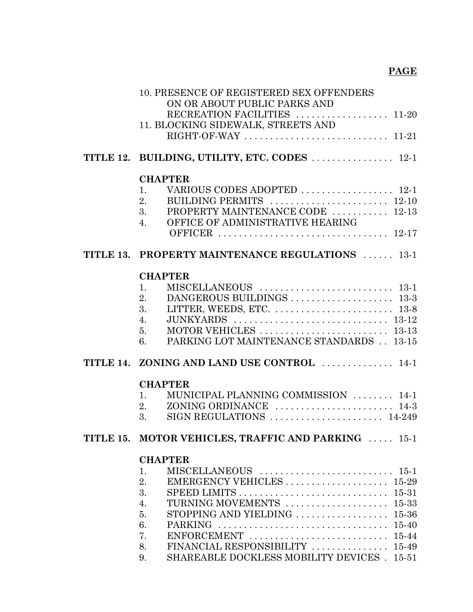| 10. PRESENCE OF REGISTERED SEX OFFENDERS<br>ON OR ABOUT PUBLIC PARKS AND<br>RECREATION FACILITIES  11-20<br>11. BLOCKING SIDEWALK, STREETS AND                                                                                                                                                                                  |
|---------------------------------------------------------------------------------------------------------------------------------------------------------------------------------------------------------------------------------------------------------------------------------------------------------------------------------|
| TITLE 12. BUILDING, UTILITY, ETC. CODES  12-1                                                                                                                                                                                                                                                                                   |
| <b>CHAPTER</b><br>VARIOUS CODES ADOPTED  12-1<br>1.<br>2.<br>PROPERTY MAINTENANCE CODE  12-13<br>3.<br>OFFICE OF ADMINISTRATIVE HEARING<br>4.                                                                                                                                                                                   |
| TITLE 13. PROPERTY MAINTENANCE REGULATIONS  13-1                                                                                                                                                                                                                                                                                |
| <b>CHAPTER</b><br>1.<br>2.<br>3.<br>JUNKYARDS  13-12<br>4.<br>5.<br>PARKING LOT MAINTENANCE STANDARDS 13-15<br>6.                                                                                                                                                                                                               |
| TITLE 14. ZONING AND LAND USE CONTROL  14-1                                                                                                                                                                                                                                                                                     |
| <b>CHAPTER</b><br>MUNICIPAL PLANNING COMMISSION  14-1<br>$\mathbf{1}$ .<br>2.<br>3.                                                                                                                                                                                                                                             |
| TITLE 15. MOTOR VEHICLES, TRAFFIC AND PARKING  15-1                                                                                                                                                                                                                                                                             |
| <b>CHAPTER</b><br>1.<br>EMERGENCY VEHICLES  15-29<br>2.<br>3.<br>SPEED LIMITS $\dots\dots\dots\dots\dots\dots\dots\dots\dots\dots\dots$ 15-31<br>TURNING MOVEMENTS  15-33<br>4.<br>STOPPING AND YIELDING  15-36<br>5.<br>6.<br>7.<br>FINANCIAL RESPONSIBILITY  15-49<br>8.<br>SHAREABLE DOCKLESS MOBILITY DEVICES . 15-51<br>9. |
|                                                                                                                                                                                                                                                                                                                                 |